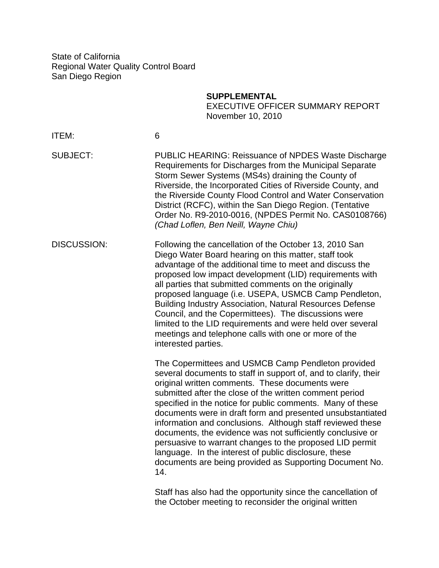State of California Regional Water Quality Control Board San Diego Region

**SUPPLEMENTAL** 

 EXECUTIVE OFFICER SUMMARY REPORT November 10, 2010

| ITEM:              | 6                                                                                                                                                                                                                                                                                                                                                                                                                                                                                                                                                                                                                                                                                  |
|--------------------|------------------------------------------------------------------------------------------------------------------------------------------------------------------------------------------------------------------------------------------------------------------------------------------------------------------------------------------------------------------------------------------------------------------------------------------------------------------------------------------------------------------------------------------------------------------------------------------------------------------------------------------------------------------------------------|
| <b>SUBJECT:</b>    | <b>PUBLIC HEARING: Reissuance of NPDES Waste Discharge</b><br>Requirements for Discharges from the Municipal Separate<br>Storm Sewer Systems (MS4s) draining the County of<br>Riverside, the Incorporated Cities of Riverside County, and<br>the Riverside County Flood Control and Water Conservation<br>District (RCFC), within the San Diego Region. (Tentative<br>Order No. R9-2010-0016, (NPDES Permit No. CAS0108766)<br>(Chad Loflen, Ben Neill, Wayne Chiu)                                                                                                                                                                                                                |
| <b>DISCUSSION:</b> | Following the cancellation of the October 13, 2010 San<br>Diego Water Board hearing on this matter, staff took<br>advantage of the additional time to meet and discuss the<br>proposed low impact development (LID) requirements with<br>all parties that submitted comments on the originally<br>proposed language (i.e. USEPA, USMCB Camp Pendleton,<br><b>Building Industry Association, Natural Resources Defense</b><br>Council, and the Copermittees). The discussions were<br>limited to the LID requirements and were held over several<br>meetings and telephone calls with one or more of the<br>interested parties.                                                     |
|                    | The Copermittees and USMCB Camp Pendleton provided<br>several documents to staff in support of, and to clarify, their<br>original written comments. These documents were<br>submitted after the close of the written comment period<br>specified in the notice for public comments. Many of these<br>documents were in draft form and presented unsubstantiated<br>information and conclusions. Although staff reviewed these<br>documents, the evidence was not sufficiently conclusive or<br>persuasive to warrant changes to the proposed LID permit<br>language. In the interest of public disclosure, these<br>documents are being provided as Supporting Document No.<br>14. |
|                    | Staff has also had the opportunity since the cancellation of<br>the October meeting to reconsider the original written                                                                                                                                                                                                                                                                                                                                                                                                                                                                                                                                                             |